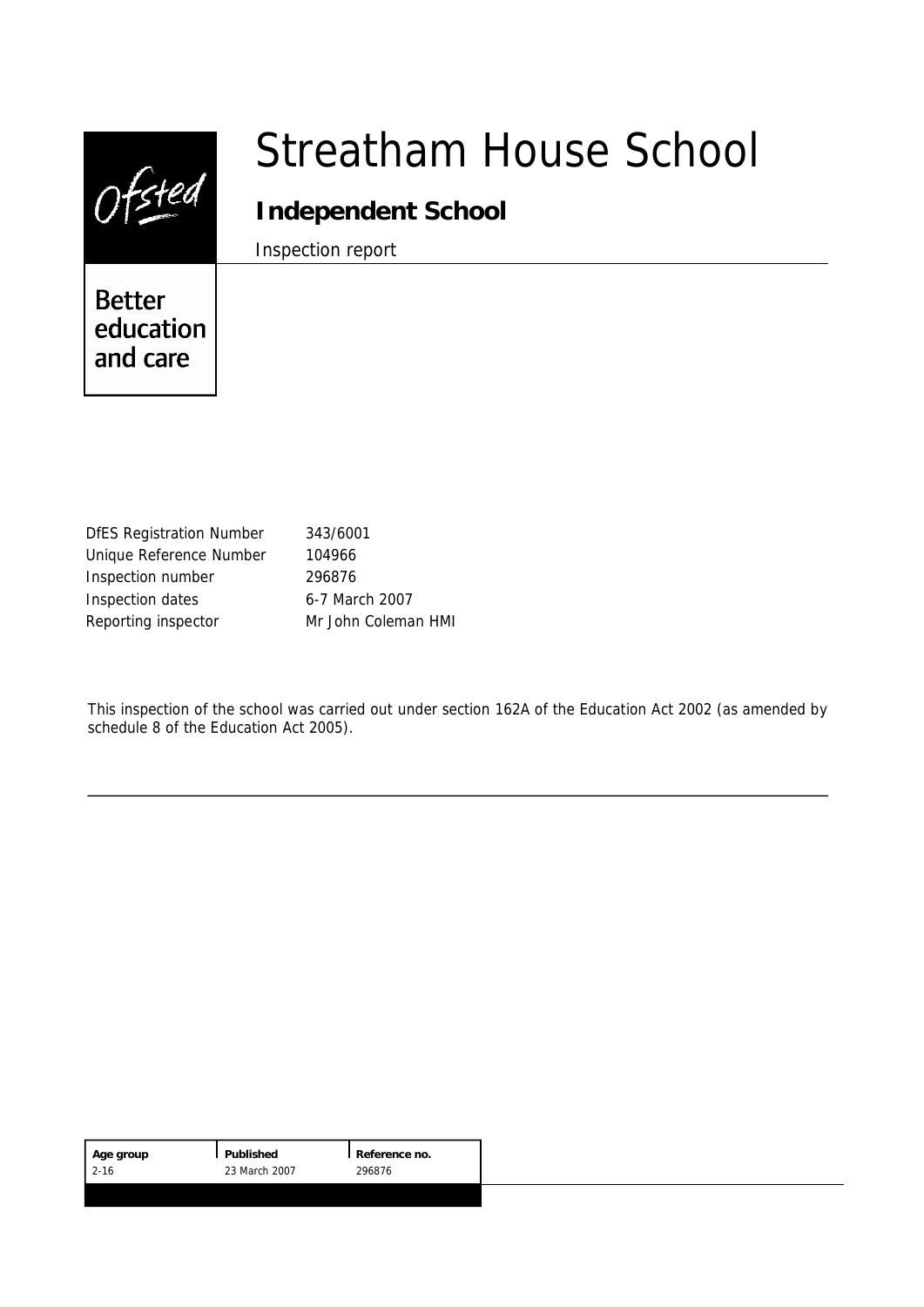|                                        | Streatham House School |
|----------------------------------------|------------------------|
|                                        | Independent School     |
|                                        | Inspection report      |
| <b>Better</b><br>education<br>and care |                        |
|                                        |                        |

| <b>DfES Registration Number</b> | 343/6001            |
|---------------------------------|---------------------|
| Unique Reference Number         | 104966              |
| Inspection number               | 296876              |
| Inspection dates                | 6-7 March 2007      |
| Reporting inspector             | Mr John Coleman HMI |

This inspection of the school was carried out under section 162A of the Education Act 2002 (as amended by schedule 8 of the Education Act 2005).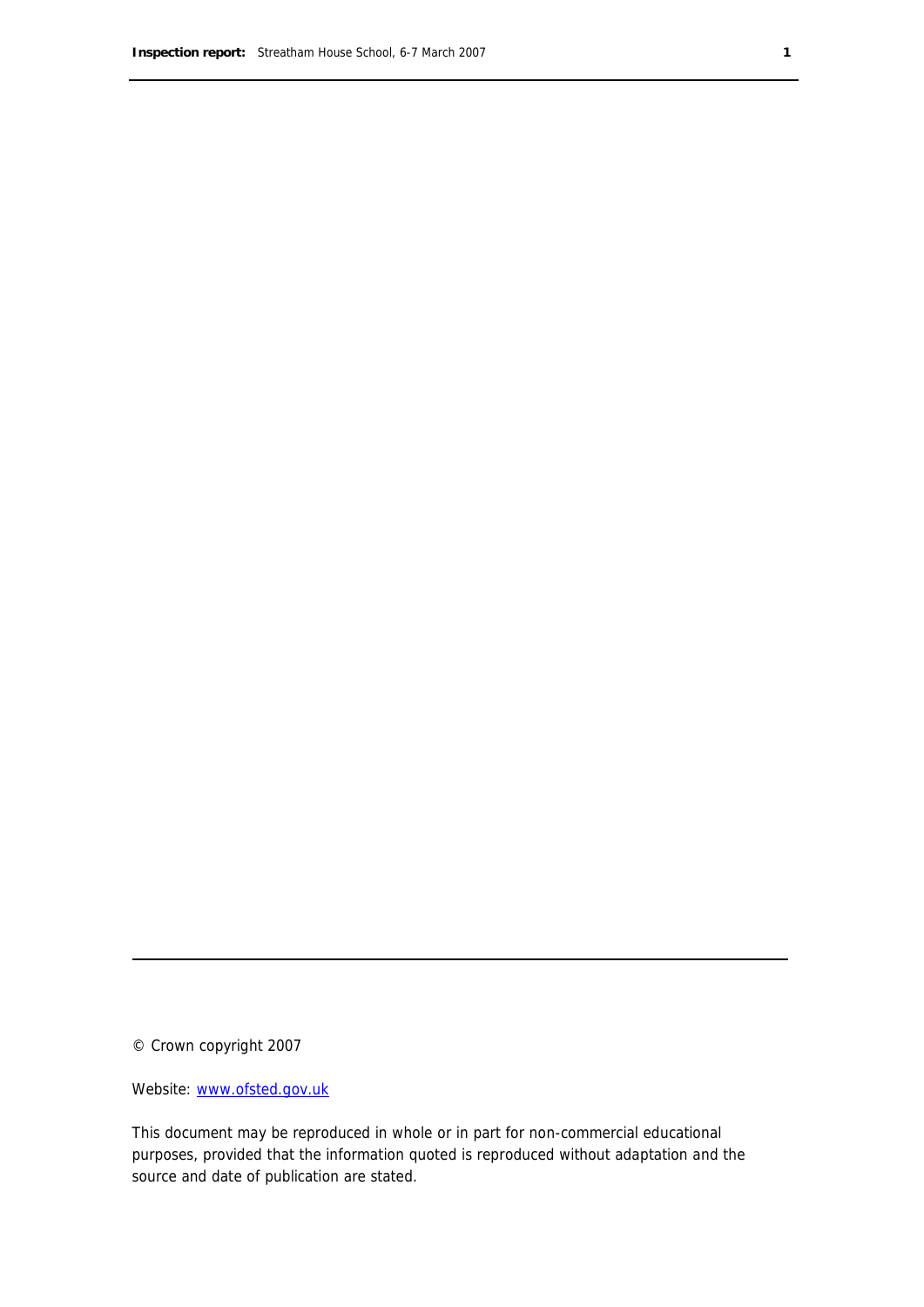© Crown copyright 2007

Website: www.ofsted.gov.uk

This document may be reproduced in whole or in part for non-commercial educational purposes, provided that the information quoted is reproduced without adaptation and the source and date of publication are stated.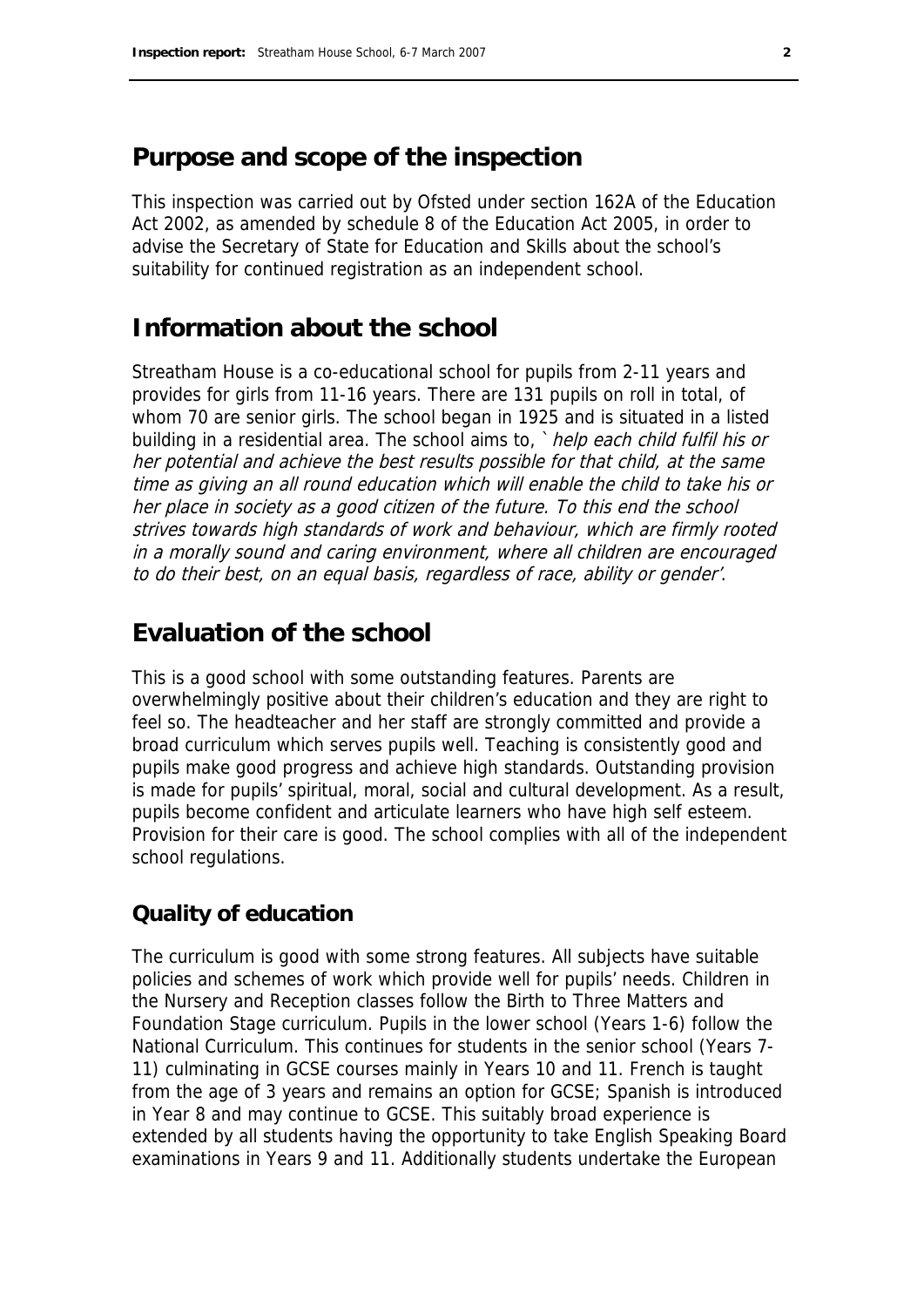## **Purpose and scope of the inspection**

This inspection was carried out by Ofsted under section 162A of the Education Act 2002, as amended by schedule 8 of the Education Act 2005, in order to advise the Secretary of State for Education and Skills about the school's suitability for continued registration as an independent school.

# **Information about the school**

Streatham House is a co-educational school for pupils from 2-11 years and provides for girls from 11-16 years. There are 131 pupils on roll in total, of whom 70 are senior girls. The school began in 1925 and is situated in a listed building in a residential area. The school aims to, `help each child fulfil his or her potential and achieve the best results possible for that child, at the same time as giving an all round education which will enable the child to take his or her place in society as a good citizen of the future. To this end the school strives towards high standards of work and behaviour, which are firmly rooted in a morally sound and caring environment, where all children are encouraged to do their best, on an equal basis, regardless of race, ability or gender'.

# **Evaluation of the school**

This is a good school with some outstanding features. Parents are overwhelmingly positive about their children's education and they are right to feel so. The headteacher and her staff are strongly committed and provide a broad curriculum which serves pupils well. Teaching is consistently good and pupils make good progress and achieve high standards. Outstanding provision is made for pupils' spiritual, moral, social and cultural development. As a result, pupils become confident and articulate learners who have high self esteem. Provision for their care is good. The school complies with all of the independent school regulations.

### **Quality of education**

The curriculum is good with some strong features. All subjects have suitable policies and schemes of work which provide well for pupils' needs. Children in the Nursery and Reception classes follow the Birth to Three Matters and Foundation Stage curriculum. Pupils in the lower school (Years 1-6) follow the National Curriculum. This continues for students in the senior school (Years 7- 11) culminating in GCSE courses mainly in Years 10 and 11. French is taught from the age of 3 years and remains an option for GCSE; Spanish is introduced in Year 8 and may continue to GCSE. This suitably broad experience is extended by all students having the opportunity to take English Speaking Board examinations in Years 9 and 11. Additionally students undertake the European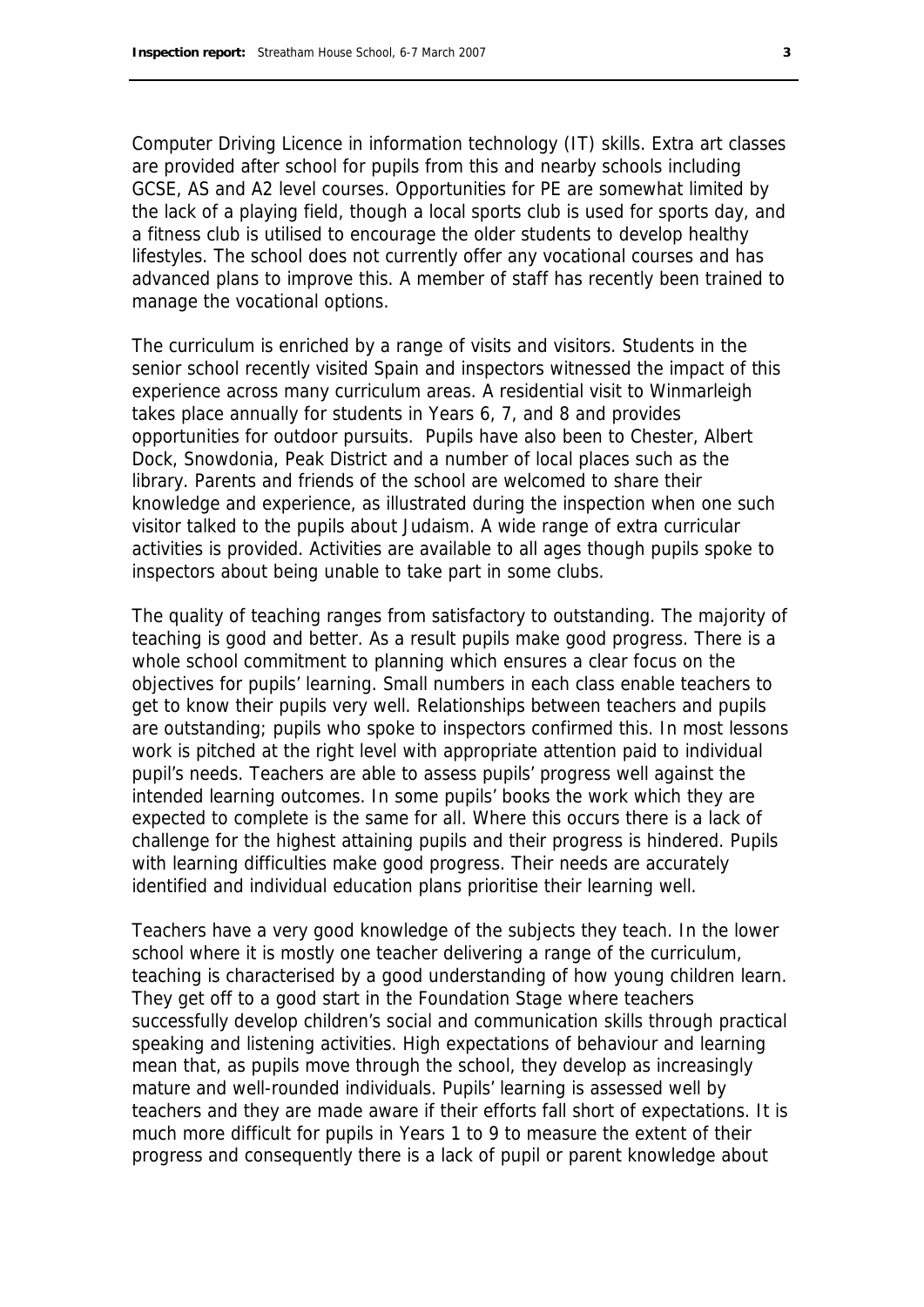Computer Driving Licence in information technology (IT) skills. Extra art classes are provided after school for pupils from this and nearby schools including GCSE, AS and A2 level courses. Opportunities for PE are somewhat limited by the lack of a playing field, though a local sports club is used for sports day, and a fitness club is utilised to encourage the older students to develop healthy lifestyles. The school does not currently offer any vocational courses and has advanced plans to improve this. A member of staff has recently been trained to manage the vocational options.

The curriculum is enriched by a range of visits and visitors. Students in the senior school recently visited Spain and inspectors witnessed the impact of this experience across many curriculum areas. A residential visit to Winmarleigh takes place annually for students in Years 6, 7, and 8 and provides opportunities for outdoor pursuits. Pupils have also been to Chester, Albert Dock, Snowdonia, Peak District and a number of local places such as the library. Parents and friends of the school are welcomed to share their knowledge and experience, as illustrated during the inspection when one such visitor talked to the pupils about Judaism. A wide range of extra curricular activities is provided. Activities are available to all ages though pupils spoke to inspectors about being unable to take part in some clubs.

The quality of teaching ranges from satisfactory to outstanding. The majority of teaching is good and better. As a result pupils make good progress. There is a whole school commitment to planning which ensures a clear focus on the objectives for pupils' learning. Small numbers in each class enable teachers to get to know their pupils very well. Relationships between teachers and pupils are outstanding; pupils who spoke to inspectors confirmed this. In most lessons work is pitched at the right level with appropriate attention paid to individual pupil's needs. Teachers are able to assess pupils' progress well against the intended learning outcomes. In some pupils' books the work which they are expected to complete is the same for all. Where this occurs there is a lack of challenge for the highest attaining pupils and their progress is hindered. Pupils with learning difficulties make good progress. Their needs are accurately identified and individual education plans prioritise their learning well.

Teachers have a very good knowledge of the subjects they teach. In the lower school where it is mostly one teacher delivering a range of the curriculum, teaching is characterised by a good understanding of how young children learn. They get off to a good start in the Foundation Stage where teachers successfully develop children's social and communication skills through practical speaking and listening activities. High expectations of behaviour and learning mean that, as pupils move through the school, they develop as increasingly mature and well-rounded individuals. Pupils' learning is assessed well by teachers and they are made aware if their efforts fall short of expectations. It is much more difficult for pupils in Years 1 to 9 to measure the extent of their progress and consequently there is a lack of pupil or parent knowledge about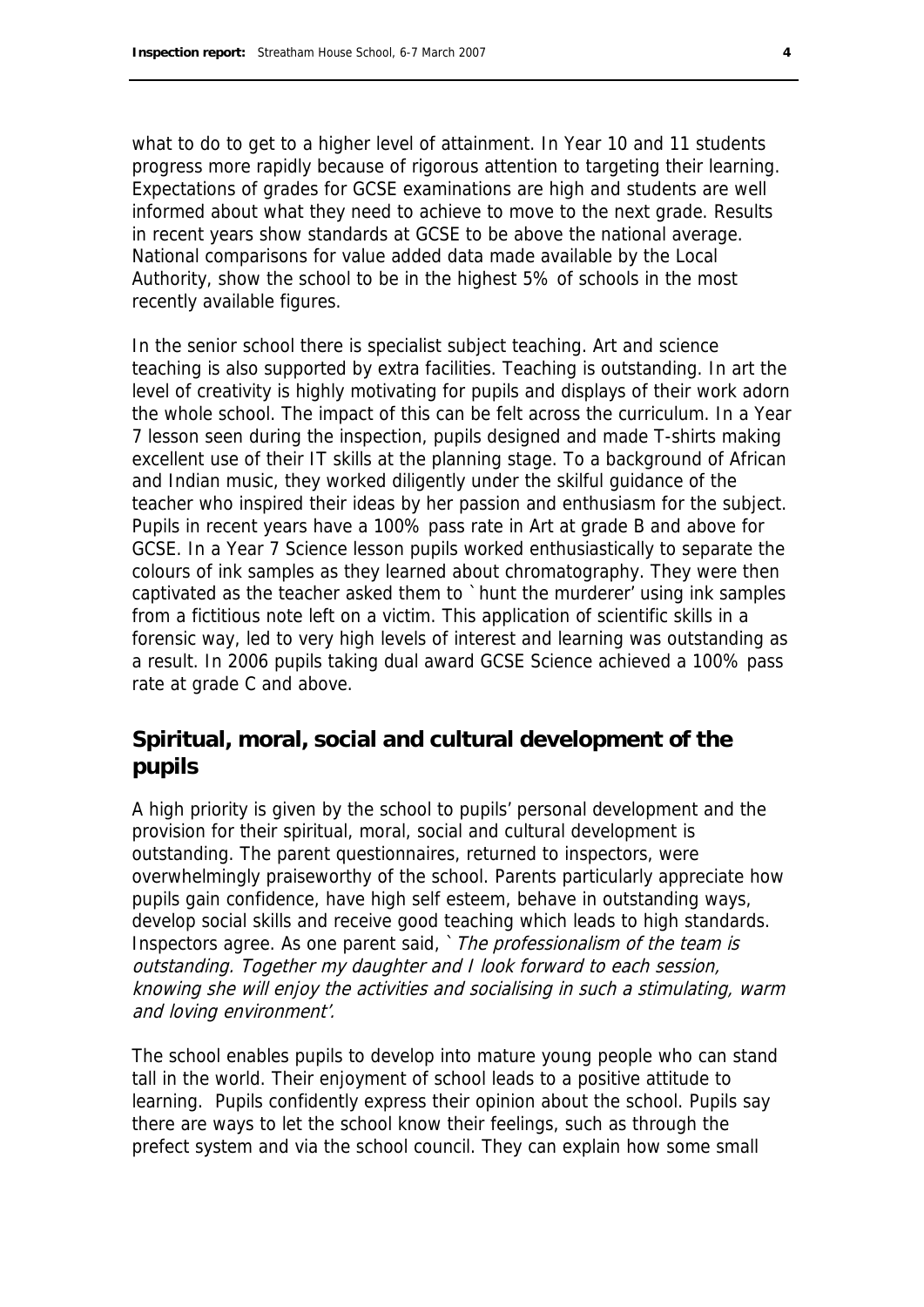what to do to get to a higher level of attainment. In Year 10 and 11 students progress more rapidly because of rigorous attention to targeting their learning. Expectations of grades for GCSE examinations are high and students are well informed about what they need to achieve to move to the next grade. Results in recent years show standards at GCSE to be above the national average. National comparisons for value added data made available by the Local Authority, show the school to be in the highest 5% of schools in the most recently available figures.

In the senior school there is specialist subject teaching. Art and science teaching is also supported by extra facilities. Teaching is outstanding. In art the level of creativity is highly motivating for pupils and displays of their work adorn the whole school. The impact of this can be felt across the curriculum. In a Year 7 lesson seen during the inspection, pupils designed and made T-shirts making excellent use of their IT skills at the planning stage. To a background of African and Indian music, they worked diligently under the skilful guidance of the teacher who inspired their ideas by her passion and enthusiasm for the subject. Pupils in recent years have a 100% pass rate in Art at grade B and above for GCSE. In a Year 7 Science lesson pupils worked enthusiastically to separate the colours of ink samples as they learned about chromatography. They were then captivated as the teacher asked them to `hunt the murderer' using ink samples from a fictitious note left on a victim. This application of scientific skills in a forensic way, led to very high levels of interest and learning was outstanding as a result. In 2006 pupils taking dual award GCSE Science achieved a 100% pass rate at grade C and above.

### **Spiritual, moral, social and cultural development of the pupils**

A high priority is given by the school to pupils' personal development and the provision for their spiritual, moral, social and cultural development is outstanding. The parent questionnaires, returned to inspectors, were overwhelmingly praiseworthy of the school. Parents particularly appreciate how pupils gain confidence, have high self esteem, behave in outstanding ways, develop social skills and receive good teaching which leads to high standards. Inspectors agree. As one parent said, `The professionalism of the team is outstanding. Together my daughter and I look forward to each session, knowing she will enjoy the activities and socialising in such a stimulating, warm and loving environment'.

The school enables pupils to develop into mature young people who can stand tall in the world. Their enjoyment of school leads to a positive attitude to learning. Pupils confidently express their opinion about the school. Pupils say there are ways to let the school know their feelings, such as through the prefect system and via the school council. They can explain how some small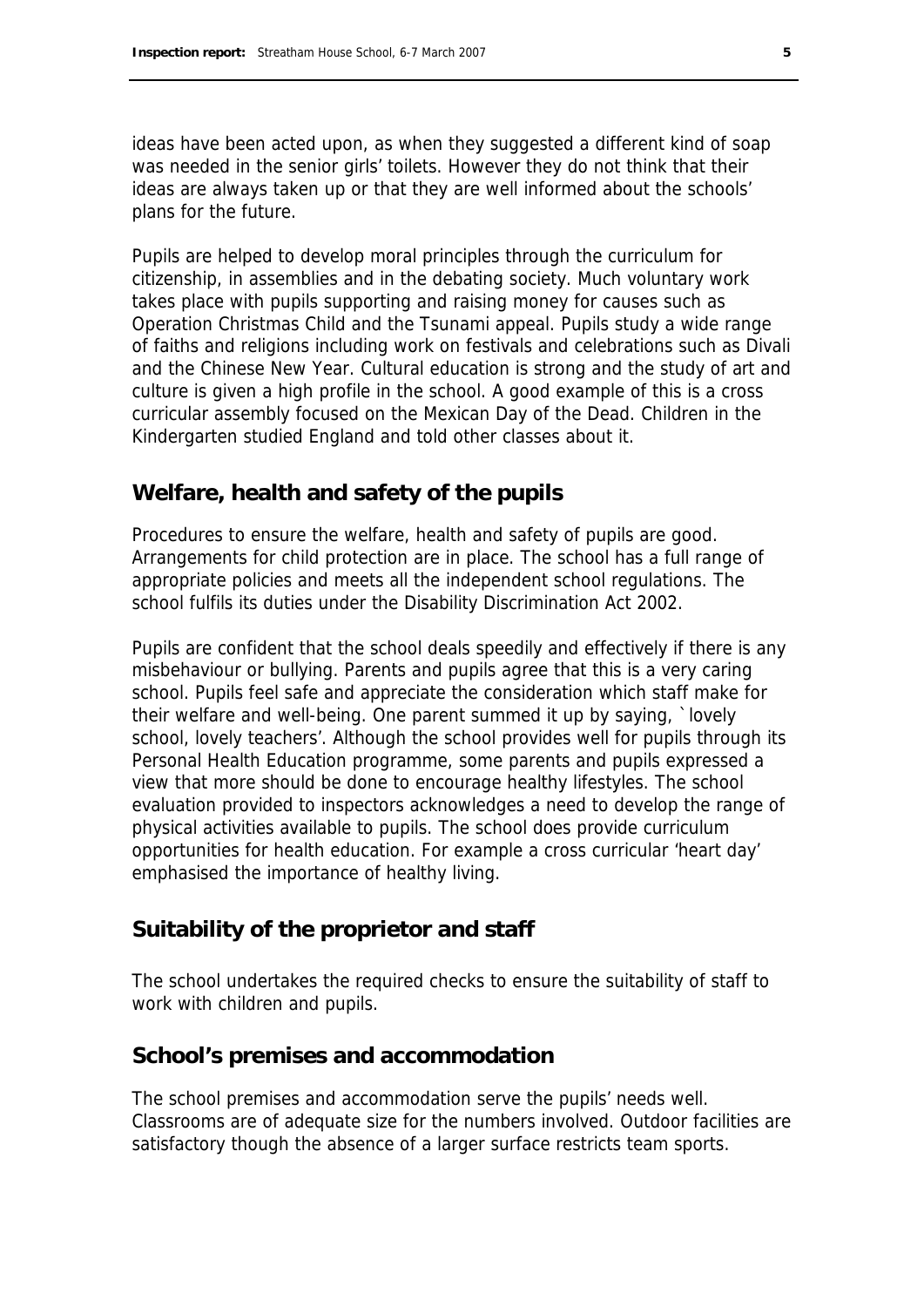ideas have been acted upon, as when they suggested a different kind of soap was needed in the senior girls' toilets. However they do not think that their ideas are always taken up or that they are well informed about the schools' plans for the future.

Pupils are helped to develop moral principles through the curriculum for citizenship, in assemblies and in the debating society. Much voluntary work takes place with pupils supporting and raising money for causes such as Operation Christmas Child and the Tsunami appeal. Pupils study a wide range of faiths and religions including work on festivals and celebrations such as Divali and the Chinese New Year. Cultural education is strong and the study of art and culture is given a high profile in the school. A good example of this is a cross curricular assembly focused on the Mexican Day of the Dead. Children in the Kindergarten studied England and told other classes about it.

#### **Welfare, health and safety of the pupils**

Procedures to ensure the welfare, health and safety of pupils are good. Arrangements for child protection are in place. The school has a full range of appropriate policies and meets all the independent school regulations. The school fulfils its duties under the Disability Discrimination Act 2002.

Pupils are confident that the school deals speedily and effectively if there is any misbehaviour or bullying. Parents and pupils agree that this is a very caring school. Pupils feel safe and appreciate the consideration which staff make for their welfare and well-being. One parent summed it up by saying, `lovely school, lovely teachers'. Although the school provides well for pupils through its Personal Health Education programme, some parents and pupils expressed a view that more should be done to encourage healthy lifestyles. The school evaluation provided to inspectors acknowledges a need to develop the range of physical activities available to pupils. The school does provide curriculum opportunities for health education. For example a cross curricular 'heart day' emphasised the importance of healthy living.

#### **Suitability of the proprietor and staff**

The school undertakes the required checks to ensure the suitability of staff to work with children and pupils.

#### **School's premises and accommodation**

The school premises and accommodation serve the pupils' needs well. Classrooms are of adequate size for the numbers involved. Outdoor facilities are satisfactory though the absence of a larger surface restricts team sports.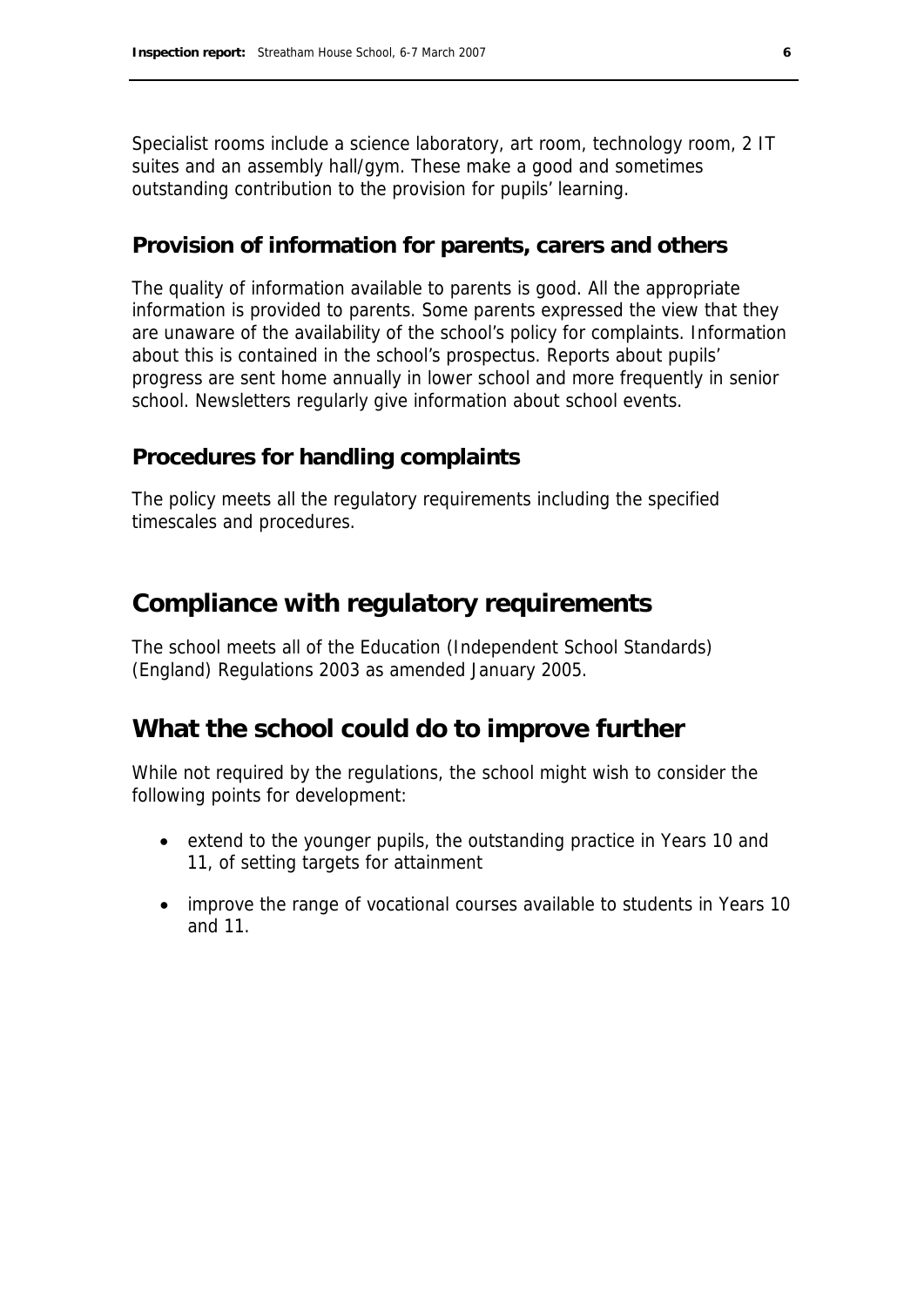Specialist rooms include a science laboratory, art room, technology room, 2 IT suites and an assembly hall/gym. These make a good and sometimes outstanding contribution to the provision for pupils' learning.

#### **Provision of information for parents, carers and others**

The quality of information available to parents is good. All the appropriate information is provided to parents. Some parents expressed the view that they are unaware of the availability of the school's policy for complaints. Information about this is contained in the school's prospectus. Reports about pupils' progress are sent home annually in lower school and more frequently in senior school. Newsletters regularly give information about school events.

#### **Procedures for handling complaints**

The policy meets all the regulatory requirements including the specified timescales and procedures.

### **Compliance with regulatory requirements**

The school meets all of the Education (Independent School Standards) (England) Regulations 2003 as amended January 2005.

### **What the school could do to improve further**

While not required by the regulations, the school might wish to consider the following points for development:

- extend to the younger pupils, the outstanding practice in Years 10 and 11, of setting targets for attainment
- improve the range of vocational courses available to students in Years 10 and 11.